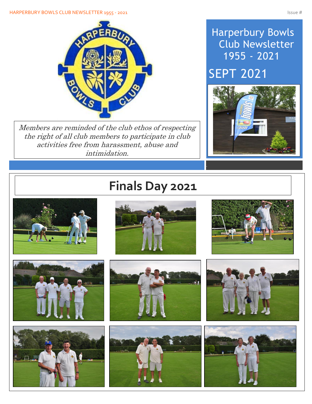#### HARPERBURY BOWLS CLUB NEWSLETTER 1955 - 2021 ISSUE # ISSUE # ISSUE # ISSUE # ISSUE #



Members are reminded of the club ethos of respecting the right of all club members to participate in club activities free from harassment, abuse and intimidation.

### Harperbury Bowls Club Newsletter 1955 - 2021

SEPT 2021



# **Finals Day 2021**

















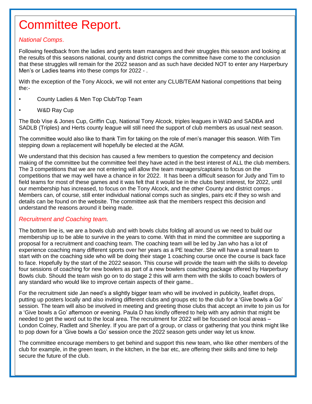# Committee Report.

#### *National Comps*.

 $\overline{\phantom{a}}$ 

I

I

I

I

I

I

I

I

Following feedback from the ladies and gents team managers and their struggles this season and looking at the results of this seasons national, county and district comps the committee have come to the conclusion that these struggles will remain for the 2022 season and as such have decided NOT to enter any Harperbury Men's or Ladies teams into these comps for 2022 - .

With the exception of the Tony Alcock, we will not enter any CLUB/TEAM National competitions that being the:-

- County Ladies & Men Top Club/Top Team
- W&D Ray Cup

The Bob Vise & Jones Cup, Griffin Cup, National Tony Alcock, triples leagues in W&D and SADBA and SADLB (Triples) and Herts county league will still need the support of club members as usual next season.

The committee would also like to thank Tim for taking on the role of men's manager this season. With Tim stepping down a replacement will hopefully be elected at the AGM.

We understand that this decision has caused a few members to question the competency and decision making of the committee but the committee feel they have acted in the best interest of ALL the club members. The 3 competitions that we are not entering will allow the team managers/captains to focus on the competitions that we may well have a chance in for 2022. It has been a difficult season for Judy and Tim to field teams for most of these games and it was felt that it would be in the clubs best interest, for 2022, until our membership has increased, to focus on the Tony Alcock, and the other County and district comps . Members can, of course, still enter individual national comps such as singles, pairs etc if they so wish and details can be found on the website. The committee ask that the members respect this decision and understand the reasons around it being made.

#### *Recruitment and Coaching team.*

The bottom line is, we are a bowls club and with bowls clubs folding all around us we need to build our membership up to be able to survive in the years to come. With that in mind the committee are supporting a proposal for a recruitment and coaching team. The coaching team will be led by Jan who has a lot of experience coaching many different sports over her years as a PE teacher. She will have a small team to start with on the coaching side who will be doing their stage 1 coaching course once the course is back face to face. Hopefully by the start of the 2022 season. This course will provide the team with the skills to develop four sessions of coaching for new bowlers as part of a new bowlers coaching package offered by Harperbury Bowls club. Should the team wish go on to do stage 2 this will arm them with the skills to coach bowlers of any standard who would like to improve certain aspects of their game..

For the recruitment side Jan need's a slightly bigger team who will be involved in publicity, leaflet drops, putting up posters locally and also inviting different clubs and groups etc to the club for a 'Give bowls a Go' session. The team will also be involved in meeting and greeting those clubs that accept an invite to join us for a 'Give bowls a Go' afternoon or evening. Paula D has kindly offered to help with any admin that might be needed to get the word out to the local area. The recruitment for 2022 will be focused on local areas – London Colney, Radlett and Shenley. If you are part of a group, or class or gathering that you think might like to pop down for a 'Give bowls a Go' session once the 2022 season gets under way let us know.

The committee encourage members to get behind and support this new team, who like other members of the club for example, in the green team, in the kitchen, in the bar etc, are offering their skills and time to help secure the future of the club.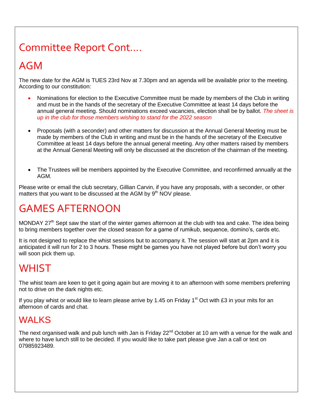## Committee Report Cont….

### AGM

The new date for the AGM is TUES 23rd Nov at 7.30pm and an agenda will be available prior to the meeting. According to our constitution:

- Nominations for election to the Executive Committee must be made by members of the Club in writing and must be in the hands of the secretary of the Executive Committee at least 14 days before the annual general meeting. Should nominations exceed vacancies, election shall be by ballot. *The sheet is up in the club for those members wishing to stand for the 2022 season*
- Proposals (with a seconder) and other matters for discussion at the Annual General Meeting must be made by members of the Club in writing and must be in the hands of the secretary of the Executive Committee at least 14 days before the annual general meeting. Any other matters raised by members at the Annual General Meeting will only be discussed at the discretion of the chairman of the meeting.
- The Trustees will be members appointed by the Executive Committee, and reconfirmed annually at the AGM.

Please write or email the club secretary, Gillian Carvin, if you have any proposals, with a seconder, or other matters that you want to be discussed at the AGM by  $9<sup>th</sup>$  NOV please.

## GAMES AFTERNOON

MONDAY 27<sup>th</sup> Sept saw the start of the winter games afternoon at the club with tea and cake. The idea being to bring members together over the closed season for a game of rumikub, sequence, domino's, cards etc.

It is not designed to replace the whist sessions but to accompany it. The session will start at 2pm and it is anticipated it will run for 2 to 3 hours. These might be games you have not played before but don't worry you will soon pick them up.

### **WHIST**

The whist team are keen to get it going again but are moving it to an afternoon with some members preferring not to drive on the dark nights etc.

If you play whist or would like to learn please arrive by 1.45 on Friday 1<sup>st</sup> Oct with £3 in your mits for an afternoon of cards and chat.

#### WAI KS

The next organised walk and pub lunch with Jan is Friday 22<sup>nd</sup> October at 10 am with a venue for the walk and where to have lunch still to be decided. If you would like to take part please give Jan a call or text on 07985923489.